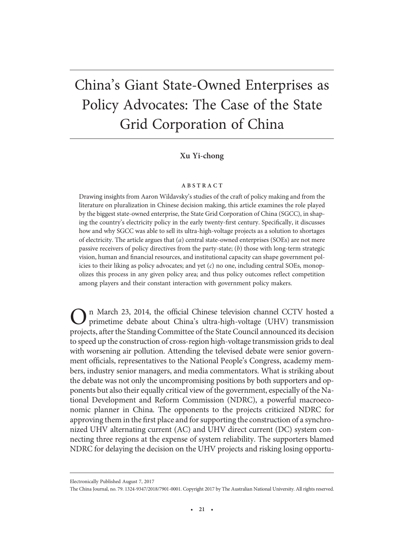# China's Giant State-Owned Enterprises as Policy Advocates: The Case of the State Grid Corporation of China

# Xu Yi-chong

## **ABSTRACT**

Drawing insights from Aaron Wildavsky's studies of the craft of policy making and from the literature on pluralization in Chinese decision making, this article examines the role played by the biggest state-owned enterprise, the State Grid Corporation of China (SGCC), in shaping the country's electricity policy in the early twenty-first century. Specifically, it discusses how and why SGCC was able to sell its ultra-high-voltage projects as a solution to shortages of electricity. The article argues that (a) central state-owned enterprises (SOEs) are not mere passive receivers of policy directives from the party-state; (b) those with long-term strategic vision, human and financial resources, and institutional capacity can shape government policies to their liking as policy advocates; and yet  $(c)$  no one, including central SOEs, monopolizes this process in any given policy area; and thus policy outcomes reflect competition among players and their constant interaction with government policy makers.

On March 23, 2014, the official Chinese television channel CCTV hosted a primetime debate about China's ultra-high-voltage (UHV) transmission projects, after the Standing Committee of the State Council announced its decision to speed up the construction of cross-region high-voltage transmission grids to deal with worsening air pollution. Attending the televised debate were senior government officials, representatives to the National People's Congress, academy members, industry senior managers, and media commentators. What is striking about the debate was not only the uncompromising positions by both supporters and opponents but also their equally critical view of the government, especially of the National Development and Reform Commission (NDRC), a powerful macroeconomic planner in China. The opponents to the projects criticized NDRC for approving them in the first place and for supporting the construction of a synchronized UHV alternating current (AC) and UHV direct current (DC) system connecting three regions at the expense of system reliability. The supporters blamed NDRC for delaying the decision on the UHV projects and risking losing opportu-

Electronically Published August 7, 2017

The China Journal, no. 79. 1324-9347/2018/7901-0001. Copyright 2017 by The Australian National University. All rights reserved.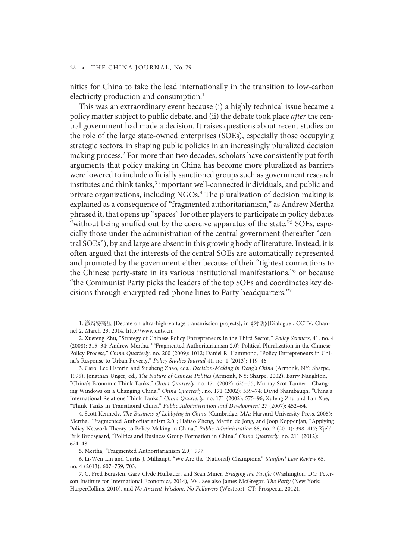nities for China to take the lead internationally in the transition to low-carbon electricity production and consumption.<sup>1</sup>

This was an extraordinary event because (i) a highly technical issue became a policy matter subject to public debate, and (ii) the debate took place after the central government had made a decision. It raises questions about recent studies on the role of the large state-owned enterprises (SOEs), especially those occupying strategic sectors, in shaping public policies in an increasingly pluralized decision making process.<sup>2</sup> For more than two decades, scholars have consistently put forth arguments that policy making in China has become more pluralized as barriers were lowered to include officially sanctioned groups such as government research institutes and think tanks,<sup>3</sup> important well-connected individuals, and public and private organizations, including NGOs.<sup>4</sup> The pluralization of decision making is explained as a consequence of "fragmented authoritarianism," as Andrew Mertha phrased it, that opens up "spaces" for other players to participate in policy debates "without being snuffed out by the coercive apparatus of the state."<sup>5</sup> SOEs, especially those under the administration of the central government (hereafter "central SOEs"), by and large are absent in this growing body of literature. Instead, it is often argued that the interests of the central SOEs are automatically represented and promoted by the government either because of their "tightest connections to the Chinese party-state in its various institutional manifestations,"<sup>6</sup> or because "the Communist Party picks the leaders of the top SOEs and coordinates key decisions through encrypted red-phone lines to Party headquarters."<sup>7</sup>

<sup>1.</sup> 激辩特高压 [Debate on ultra-high-voltage transmission projects], in 《对话》[Dialogue], CCTV, Channel 2, March 23, 2014, http://www.cntv.cn.

<sup>2.</sup> Xuefeng Zhu, "Strategy of Chinese Policy Entrepreneurs in the Third Sector," Policy Sciences, 41, no. 4 (2008): 315–34; Andrew Mertha, " 'Fragmented Authoritarianism 2.0': Political Pluralization in the Chinese Policy Process," China Quarterly, no. 200 (2009): 1012; Daniel R. Hammond, "Policy Entrepreneurs in China's Response to Urban Poverty," Policy Studies Journal 41, no. 1 (2013): 119–46.

<sup>3.</sup> Carol Lee Hamrin and Suisheng Zhao, eds., Decision-Making in Deng's China (Armonk, NY: Sharpe, 1995); Jonathan Unger, ed., The Nature of Chinese Politics (Armonk, NY: Sharpe, 2002); Barry Naughton, "China's Economic Think Tanks," China Quarterly, no. 171 (2002): 625–35; Murray Scot Tanner, "Changing Windows on a Changing China," China Quarterly, no. 171 (2002): 559–74; David Shambaugh, "China's International Relations Think Tanks," China Quarterly, no. 171 (2002): 575–96; Xufeng Zhu and Lan Xue, "Think Tanks in Transitional China," Public Administration and Development 27 (2007): 452–64.

<sup>4.</sup> Scott Kennedy, The Business of Lobbying in China (Cambridge, MA: Harvard University Press, 2005); Mertha, "Fragmented Authoritarianism 2.0"; Haitao Zheng, Martin de Jong, and Joop Koppenjan, "Applying Policy Network Theory to Policy-Making in China," Public Administration 88, no. 2 (2010): 398–417; Kjeld Erik Brødsgaard, "Politics and Business Group Formation in China," China Quarterly, no. 211 (2012): 624–48.

<sup>5.</sup> Mertha, "Fragmented Authoritarianism 2.0," 997.

<sup>6.</sup> Li-Wen Lin and Curtis J. Milhaupt, "We Are the (National) Champions," Stanford Law Review 65, no. 4 (2013): 607–759, 703.

<sup>7.</sup> C. Fred Bergsten, Gary Clyde Hufbauer, and Sean Miner, Bridging the Pacific (Washington, DC: Peterson Institute for International Economics, 2014), 304. See also James McGregor, The Party (New York: HarperCollins, 2010), and No Ancient Wisdom, No Followers (Westport, CT: Prospecta, 2012).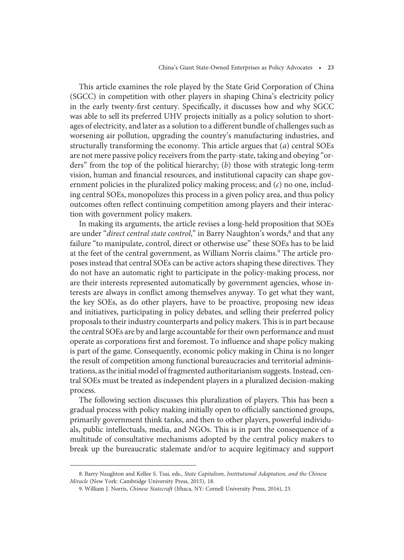This article examines the role played by the State Grid Corporation of China (SGCC) in competition with other players in shaping China's electricity policy in the early twenty-first century. Specifically, it discusses how and why SGCC was able to sell its preferred UHV projects initially as a policy solution to shortages of electricity, and later as a solution to a different bundle of challenges such as worsening air pollution, upgrading the country's manufacturing industries, and structurally transforming the economy. This article argues that (a) central SOEs are not mere passive policy receivers from the party-state, taking and obeying "orders" from the top of the political hierarchy; (b) those with strategic long-term vision, human and financial resources, and institutional capacity can shape government policies in the pluralized policy making process; and  $(c)$  no one, including central SOEs, monopolizes this process in a given policy area, and thus policy outcomes often reflect continuing competition among players and their interaction with government policy makers.

In making its arguments, the article revises a long-held proposition that SOEs are under "*direct central state control*," in Barry Naughton's words,<sup>8</sup> and that any failure "to manipulate, control, direct or otherwise use" these SOEs has to be laid at the feet of the central government, as William Norris claims.<sup>9</sup> The article proposes instead that central SOEs can be active actors shaping these directives. They do not have an automatic right to participate in the policy-making process, nor are their interests represented automatically by government agencies, whose interests are always in conflict among themselves anyway. To get what they want, the key SOEs, as do other players, have to be proactive, proposing new ideas and initiatives, participating in policy debates, and selling their preferred policy proposals to their industry counterparts and policy makers. This is in part because the central SOEs are by and large accountable for their own performance and must operate as corporations first and foremost. To influence and shape policy making is part of the game. Consequently, economic policy making in China is no longer the result of competition among functional bureaucracies and territorial administrations, as the initial model of fragmented authoritarianism suggests. Instead, central SOEs must be treated as independent players in a pluralized decision-making process.

The following section discusses this pluralization of players. This has been a gradual process with policy making initially open to officially sanctioned groups, primarily government think tanks, and then to other players, powerful individuals, public intellectuals, media, and NGOs. This is in part the consequence of a multitude of consultative mechanisms adopted by the central policy makers to break up the bureaucratic stalemate and/or to acquire legitimacy and support

<sup>8.</sup> Barry Naughton and Kellee S. Tsai, eds., State Capitalism, Institutional Adaptation, and the Chinese Miracle (New York: Cambridge University Press, 2015), 18.

<sup>9.</sup> William J. Norris, Chinese Statecraft (Ithaca, NY: Cornell University Press, 2016), 23.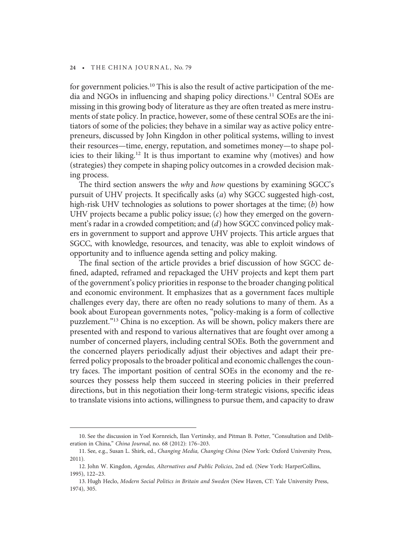for government policies.<sup>10</sup> This is also the result of active participation of the media and NGOs in influencing and shaping policy directions.<sup>11</sup> Central SOEs are missing in this growing body of literature as they are often treated as mere instruments of state policy. In practice, however, some of these central SOEs are the initiators of some of the policies; they behave in a similar way as active policy entrepreneurs, discussed by John Kingdon in other political systems, willing to invest their resources—time, energy, reputation, and sometimes money—to shape policies to their liking.<sup>12</sup> It is thus important to examine why (motives) and how (strategies) they compete in shaping policy outcomes in a crowded decision making process.

The third section answers the why and how questions by examining SGCC's pursuit of UHV projects. It specifically asks (a) why SGCC suggested high-cost, high-risk UHV technologies as solutions to power shortages at the time;  $(b)$  how UHV projects became a public policy issue;  $(c)$  how they emerged on the government's radar in a crowded competition; and (d) how SGCC convinced policy makers in government to support and approve UHV projects. This article argues that SGCC, with knowledge, resources, and tenacity, was able to exploit windows of opportunity and to influence agenda setting and policy making.

The final section of the article provides a brief discussion of how SGCC defined, adapted, reframed and repackaged the UHV projects and kept them part of the government's policy priorities in response to the broader changing political and economic environment. It emphasizes that as a government faces multiple challenges every day, there are often no ready solutions to many of them. As a book about European governments notes, "policy-making is a form of collective puzzlement."<sup>13</sup> China is no exception. As will be shown, policy makers there are presented with and respond to various alternatives that are fought over among a number of concerned players, including central SOEs. Both the government and the concerned players periodically adjust their objectives and adapt their preferred policy proposals to the broader political and economic challenges the country faces. The important position of central SOEs in the economy and the resources they possess help them succeed in steering policies in their preferred directions, but in this negotiation their long-term strategic visions, specific ideas to translate visions into actions, willingness to pursue them, and capacity to draw

<sup>10.</sup> See the discussion in Yoel Kornreich, Ilan Vertinsky, and Pitman B. Potter, "Consultation and Deliberation in China," China Journal, no. 68 (2012): 176–203.

<sup>11.</sup> See, e.g., Susan L. Shirk, ed., Changing Media, Changing China (New York: Oxford University Press, 2011).

<sup>12.</sup> John W. Kingdon, Agendas, Alternatives and Public Policies, 2nd ed. (New York: HarperCollins, 1995), 122–23.

<sup>13.</sup> Hugh Heclo, Modern Social Politics in Britain and Sweden (New Haven, CT: Yale University Press, 1974), 305.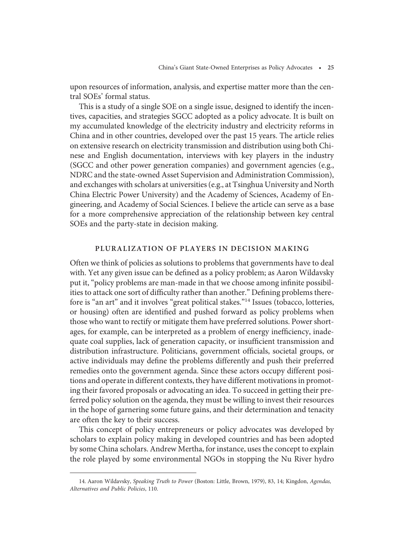upon resources of information, analysis, and expertise matter more than the central SOEs' formal status.

This is a study of a single SOE on a single issue, designed to identify the incentives, capacities, and strategies SGCC adopted as a policy advocate. It is built on my accumulated knowledge of the electricity industry and electricity reforms in China and in other countries, developed over the past 15 years. The article relies on extensive research on electricity transmission and distribution using both Chinese and English documentation, interviews with key players in the industry (SGCC and other power generation companies) and government agencies (e.g., NDRC and the state-owned Asset Supervision and Administration Commission), and exchanges with scholars at universities (e.g., at Tsinghua University and North China Electric Power University) and the Academy of Sciences, Academy of Engineering, and Academy of Social Sciences. I believe the article can serve as a base for a more comprehensive appreciation of the relationship between key central SOEs and the party-state in decision making.

# PLURALIZATION OF PLAYERS IN DECISION MAKING

Often we think of policies as solutions to problems that governments have to deal with. Yet any given issue can be defined as a policy problem; as Aaron Wildavsky put it, "policy problems are man-made in that we choose among infinite possibilities to attack one sort of difficulty rather than another." Defining problems therefore is "an art" and it involves "great political stakes."<sup>14</sup> Issues (tobacco, lotteries, or housing) often are identified and pushed forward as policy problems when those who want to rectify or mitigate them have preferred solutions. Power shortages, for example, can be interpreted as a problem of energy inefficiency, inadequate coal supplies, lack of generation capacity, or insufficient transmission and distribution infrastructure. Politicians, government officials, societal groups, or active individuals may define the problems differently and push their preferred remedies onto the government agenda. Since these actors occupy different positions and operate in different contexts, they have different motivations in promoting their favored proposals or advocating an idea. To succeed in getting their preferred policy solution on the agenda, they must be willing to invest their resources in the hope of garnering some future gains, and their determination and tenacity are often the key to their success.

This concept of policy entrepreneurs or policy advocates was developed by scholars to explain policy making in developed countries and has been adopted by some China scholars. Andrew Mertha, for instance, uses the concept to explain the role played by some environmental NGOs in stopping the Nu River hydro

<sup>14.</sup> Aaron Wildavsky, Speaking Truth to Power (Boston: Little, Brown, 1979), 83, 14; Kingdon, Agendas, Alternatives and Public Policies, 110.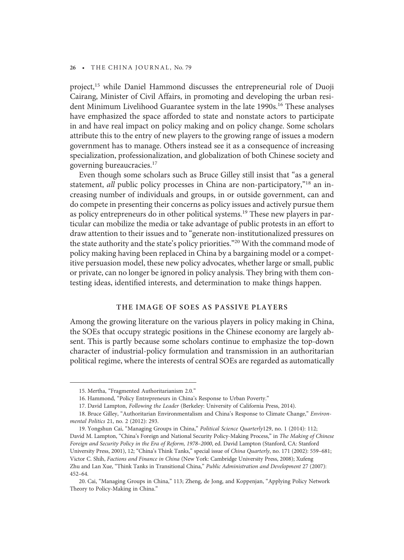project,<sup>15</sup> while Daniel Hammond discusses the entrepreneurial role of Duoji Cairang, Minister of Civil Affairs, in promoting and developing the urban resident Minimum Livelihood Guarantee system in the late 1990s.<sup>16</sup> These analyses have emphasized the space afforded to state and nonstate actors to participate in and have real impact on policy making and on policy change. Some scholars attribute this to the entry of new players to the growing range of issues a modern government has to manage. Others instead see it as a consequence of increasing specialization, professionalization, and globalization of both Chinese society and governing bureaucracies.<sup>17</sup>

Even though some scholars such as Bruce Gilley still insist that "as a general statement, *all* public policy processes in China are non-participatory,<sup>"18</sup> an increasing number of individuals and groups, in or outside government, can and do compete in presenting their concerns as policy issues and actively pursue them as policy entrepreneurs do in other political systems.<sup>19</sup> These new players in particular can mobilize the media or take advantage of public protests in an effort to draw attention to their issues and to "generate non-institutionalized pressures on the state authority and the state's policy priorities."<sup>20</sup> With the command mode of policy making having been replaced in China by a bargaining model or a competitive persuasion model, these new policy advocates, whether large or small, public or private, can no longer be ignored in policy analysis. They bring with them contesting ideas, identified interests, and determination to make things happen.

# THE IMAGE OF SOES AS PASSIVE PLAYERS AS PASSIVE PLAYERS AS PASSIVE PLAYERS AS PASSIVE PLAYERS AS PARTY.

Among the growing literature on the various players in policy making in China, the SOEs that occupy strategic positions in the Chinese economy are largely absent. This is partly because some scholars continue to emphasize the top-down character of industrial-policy formulation and transmission in an authoritarian political regime, where the interests of central SOEs are regarded as automatically

<sup>15.</sup> Mertha, "Fragmented Authoritarianism 2.0."

<sup>16.</sup> Hammond, "Policy Entrepreneurs in China's Response to Urban Poverty."

<sup>17.</sup> David Lampton, Following the Leader (Berkeley: University of California Press, 2014).

<sup>18.</sup> Bruce Gilley, "Authoritarian Environmentalism and China's Response to Climate Change," Environmental Politics 21, no. 2 (2012): 293.

<sup>19.</sup> Yongshun Cai, "Managing Groups in China," Political Science Quarterly129, no. 1 (2014): 112; David M. Lampton, "China's Foreign and National Security Policy-Making Process," in The Making of Chinese Foreign and Security Policy in the Era of Reform, 1978–2000, ed. David Lampton (Stanford, CA: Stanford University Press, 2001), 12; "China's Think Tanks," special issue of China Quarterly, no. 171 (2002): 559–681; Victor C. Shih, Factions and Finance in China (New York: Cambridge University Press, 2008); Xufeng Zhu and Lan Xue, "Think Tanks in Transitional China," Public Administration and Development 27 (2007): 452–64.

<sup>20.</sup> Cai, "Managing Groups in China," 113; Zheng, de Jong, and Koppenjan, "Applying Policy Network Theory to Policy-Making in China."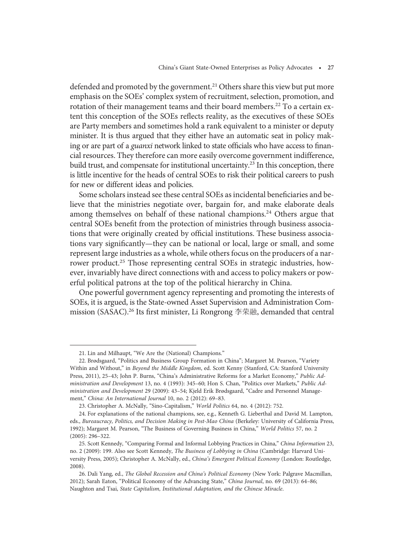defended and promoted by the government.<sup>21</sup> Others share this view but put more emphasis on the SOEs' complex system of recruitment, selection, promotion, and rotation of their management teams and their board members.<sup>22</sup> To a certain extent this conception of the SOEs reflects reality, as the executives of these SOEs are Party members and sometimes hold a rank equivalent to a minister or deputy minister. It is thus argued that they either have an automatic seat in policy making or are part of a *guanxi* network linked to state officials who have access to financial resources. They therefore can more easily overcome government indifference, build trust, and compensate for institutional uncertainty.<sup>23</sup> In this conception, there is little incentive for the heads of central SOEs to risk their political careers to push for new or different ideas and policies.

Some scholars instead see these central SOEs as incidental beneficiaries and believe that the ministries negotiate over, bargain for, and make elaborate deals among themselves on behalf of these national champions.<sup>24</sup> Others argue that central SOEs benefit from the protection of ministries through business associations that were originally created by official institutions. These business associations vary significantly—they can be national or local, large or small, and some represent large industries as a whole, while others focus on the producers of a narrower product.<sup>25</sup> Those representing central SOEs in strategic industries, however, invariably have direct connections with and access to policy makers or powerful political patrons at the top of the political hierarchy in China.

One powerful government agency representing and promoting the interests of SOEs, it is argued, is the State-owned Asset Supervision and Administration Commission (SASAC).26 Its first minister, Li Rongrong 李荣融, demanded that central

<sup>21.</sup> Lin and Milhaupt, "We Are the (National) Champions."

<sup>22.</sup> Brødsgaard, "Politics and Business Group Formation in China"; Margaret M. Pearson, "Variety Within and Without," in Beyond the Middle Kingdom, ed. Scott Kenny (Stanford, CA: Stanford University Press, 2011), 25–43; John P. Burns, "China's Administrative Reforms for a Market Economy," Public Administration and Development 13, no. 4 (1993): 345–60; Hon S. Chan, "Politics over Markets," Public Administration and Development 29 (2009): 43–54; Kjeld Erik Brødsgaard, "Cadre and Personnel Management," China: An International Journal 10, no. 2 (2012): 69–83.

<sup>23.</sup> Christopher A. McNally, "Sino-Capitalism," World Politics 64, no. 4 (2012): 752.

<sup>24.</sup> For explanations of the national champions, see, e.g., Kenneth G. Lieberthal and David M. Lampton, eds., Bureaucracy, Politics, and Decision Making in Post-Mao China (Berkeley: University of California Press, 1992); Margaret M. Pearson, "The Business of Governing Business in China," World Politics 57, no. 2 (2005): 296–322.

<sup>25.</sup> Scott Kennedy, "Comparing Formal and Informal Lobbying Practices in China," China Information 23, no. 2 (2009): 199. Also see Scott Kennedy, The Business of Lobbying in China (Cambridge: Harvard University Press, 2005); Christopher A. McNally, ed., China's Emergent Political Economy (London: Routledge, 2008).

<sup>26.</sup> Dali Yang, ed., The Global Recession and China's Political Economy (New York: Palgrave Macmillan, 2012); Sarah Eaton, "Political Economy of the Advancing State," China Journal, no. 69 (2013): 64–86; Naughton and Tsai, State Capitalism, Institutional Adaptation, and the Chinese Miracle.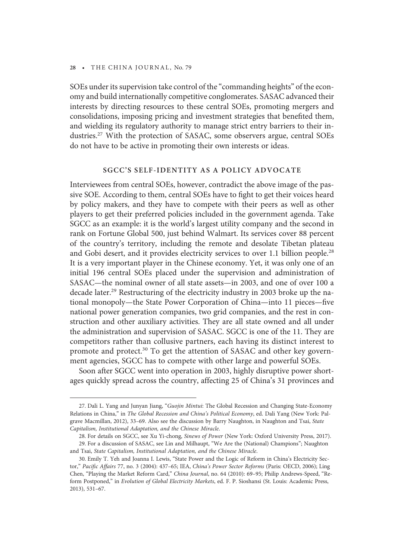SOEs under its supervision take control of the "commanding heights" of the economy and build internationally competitive conglomerates. SASAC advanced their interests by directing resources to these central SOEs, promoting mergers and consolidations, imposing pricing and investment strategies that benefited them, and wielding its regulatory authority to manage strict entry barriers to their industries.27 With the protection of SASAC, some observers argue, central SOEs do not have to be active in promoting their own interests or ideas.

# SGCC'S SELF-IDENTITY AS A POLICY ADVOCATE

Interviewees from central SOEs, however, contradict the above image of the passive SOE. According to them, central SOEs have to fight to get their voices heard by policy makers, and they have to compete with their peers as well as other players to get their preferred policies included in the government agenda. Take SGCC as an example: it is the world's largest utility company and the second in rank on Fortune Global 500, just behind Walmart. Its services cover 88 percent of the country's territory, including the remote and desolate Tibetan plateau and Gobi desert, and it provides electricity services to over 1.1 billion people.<sup>28</sup> It is a very important player in the Chinese economy. Yet, it was only one of an initial 196 central SOEs placed under the supervision and administration of SASAC—the nominal owner of all state assets—in 2003, and one of over 100 a decade later.<sup>29</sup> Restructuring of the electricity industry in 2003 broke up the national monopoly—the State Power Corporation of China—into 11 pieces—five national power generation companies, two grid companies, and the rest in construction and other auxiliary activities. They are all state owned and all under the administration and supervision of SASAC. SGCC is one of the 11. They are competitors rather than collusive partners, each having its distinct interest to promote and protect.<sup>30</sup> To get the attention of SASAC and other key government agencies, SGCC has to compete with other large and powerful SOEs.

Soon after SGCC went into operation in 2003, highly disruptive power shortages quickly spread across the country, affecting 25 of China's 31 provinces and

<sup>27.</sup> Dali L. Yang and Junyan Jiang, "Guojin Mintui: The Global Recession and Changing State-Economy Relations in China," in The Global Recession and China's Political Economy, ed. Dali Yang (New York: Palgrave Macmillan, 2012), 33–69. Also see the discussion by Barry Naughton, in Naughton and Tsai, State Capitalism, Institutional Adaptation, and the Chinese Miracle.

<sup>28.</sup> For details on SGCC, see Xu Yi-chong, Sinews of Power (New York: Oxford University Press, 2017). 29. For a discussion of SASAC, see Lin and Milhaupt, "We Are the (National) Champions"; Naughton and Tsai, State Capitalism, Institutional Adaptation, and the Chinese Miracle.

<sup>30.</sup> Emily T. Yeh and Joanna I. Lewis, "State Power and the Logic of Reform in China's Electricity Sector," Pacific Affairs 77, no. 3 (2004): 437–65; IEA, China's Power Sector Reforms (Paris: OECD, 2006); Ling Chen, "Playing the Market Reform Card," China Journal, no. 64 (2010): 69–95; Philip Andrews-Speed, "Reform Postponed," in Evolution of Global Electricity Markets, ed. F. P. Sioshansi (St. Louis: Academic Press, 2013), 531–67.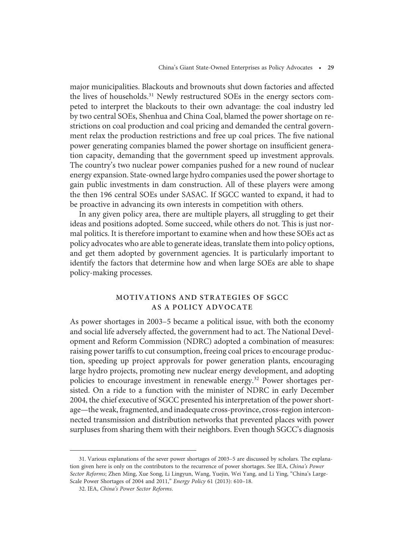major municipalities. Blackouts and brownouts shut down factories and affected the lives of households.<sup>31</sup> Newly restructured SOEs in the energy sectors competed to interpret the blackouts to their own advantage: the coal industry led by two central SOEs, Shenhua and China Coal, blamed the power shortage on restrictions on coal production and coal pricing and demanded the central government relax the production restrictions and free up coal prices. The five national power generating companies blamed the power shortage on insufficient generation capacity, demanding that the government speed up investment approvals. The country's two nuclear power companies pushed for a new round of nuclear energy expansion. State-owned large hydro companies used the power shortage to gain public investments in dam construction. All of these players were among the then 196 central SOEs under SASAC. If SGCC wanted to expand, it had to be proactive in advancing its own interests in competition with others.

In any given policy area, there are multiple players, all struggling to get their ideas and positions adopted. Some succeed, while others do not. This is just normal politics. It is therefore important to examine when and how these SOEs act as policy advocates who are able to generate ideas, translate them into policy options, and get them adopted by government agencies. It is particularly important to identify the factors that determine how and when large SOEs are able to shape policy-making processes.

# MOTIVATIONS AND STRATEGIES OF SGCC AS A POLICY ADVOCATE AS A POLICY ADVOCATE

As power shortages in 2003–5 became a political issue, with both the economy and social life adversely affected, the government had to act. The National Development and Reform Commission (NDRC) adopted a combination of measures: raising power tariffs to cut consumption, freeing coal prices to encourage production, speeding up project approvals for power generation plants, encouraging large hydro projects, promoting new nuclear energy development, and adopting policies to encourage investment in renewable energy.<sup>32</sup> Power shortages persisted. On a ride to a function with the minister of NDRC in early December 2004, the chief executive of SGCC presented his interpretation of the power shortage—the weak, fragmented, and inadequate cross-province, cross-region interconnected transmission and distribution networks that prevented places with power surpluses from sharing them with their neighbors. Even though SGCC's diagnosis

<sup>31.</sup> Various explanations of the sever power shortages of 2003–5 are discussed by scholars. The explanation given here is only on the contributors to the recurrence of power shortages. See IEA, China's Power Sector Reforms; Zhen Ming, Xue Song, Li Lingyun, Wang, Yuejin, Wei Yang, and Li Ying, "China's Large-Scale Power Shortages of 2004 and 2011," Energy Policy 61 (2013): 610-18.

<sup>32.</sup> IEA, China's Power Sector Reforms.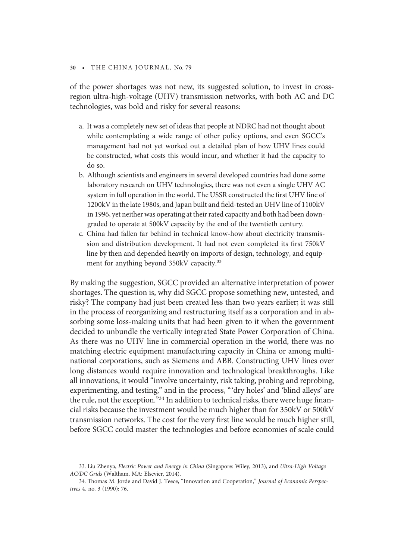of the power shortages was not new, its suggested solution, to invest in crossregion ultra-high-voltage (UHV) transmission networks, with both AC and DC technologies, was bold and risky for several reasons:

- a. It was a completely new set of ideas that people at NDRC had not thought about while contemplating a wide range of other policy options, and even SGCC's management had not yet worked out a detailed plan of how UHV lines could be constructed, what costs this would incur, and whether it had the capacity to do so.
- b. Although scientists and engineers in several developed countries had done some laboratory research on UHV technologies, there was not even a single UHV AC system in full operation in the world. The USSR constructed the first UHV line of 1200kV in the late 1980s, and Japan built and field-tested an UHV line of 1100kV in 1996, yet neither was operating at their rated capacity and both had been downgraded to operate at 500kV capacity by the end of the twentieth century.
- c. China had fallen far behind in technical know-how about electricity transmission and distribution development. It had not even completed its first 750kV line by then and depended heavily on imports of design, technology, and equipment for anything beyond 350kV capacity.<sup>33</sup>

By making the suggestion, SGCC provided an alternative interpretation of power shortages. The question is, why did SGCC propose something new, untested, and risky? The company had just been created less than two years earlier; it was still in the process of reorganizing and restructuring itself as a corporation and in absorbing some loss-making units that had been given to it when the government decided to unbundle the vertically integrated State Power Corporation of China. As there was no UHV line in commercial operation in the world, there was no matching electric equipment manufacturing capacity in China or among multinational corporations, such as Siemens and ABB. Constructing UHV lines over long distances would require innovation and technological breakthroughs. Like all innovations, it would "involve uncertainty, risk taking, probing and reprobing, experimenting, and testing," and in the process, "'dry holes' and 'blind alleys' are the rule, not the exception."<sup>34</sup> In addition to technical risks, there were huge financial risks because the investment would be much higher than for 350kV or 500kV transmission networks. The cost for the very first line would be much higher still, before SGCC could master the technologies and before economies of scale could

<sup>33.</sup> Liu Zhenya, Electric Power and Energy in China (Singapore: Wiley, 2013), and Ultra-High Voltage AC/DC Grids (Waltham, MA: Elsevier, 2014).

<sup>34.</sup> Thomas M. Jorde and David J. Teece, "Innovation and Cooperation," Journal of Economic Perspectives 4, no. 3 (1990): 76.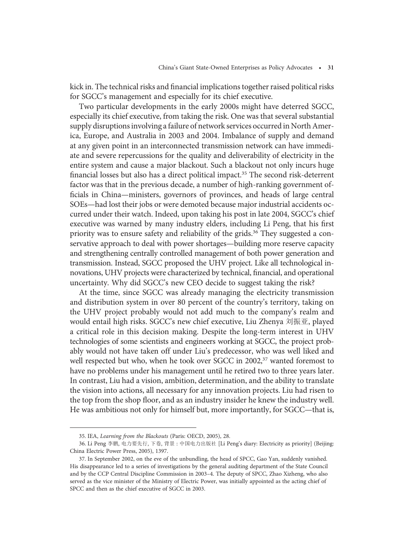kick in. The technical risks and financial implications together raised political risks for SGCC's management and especially for its chief executive.

Two particular developments in the early 2000s might have deterred SGCC, especially its chief executive, from taking the risk. One was that several substantial supply disruptions involving a failure of network services occurred in North America, Europe, and Australia in 2003 and 2004. Imbalance of supply and demand at any given point in an interconnected transmission network can have immediate and severe repercussions for the quality and deliverability of electricity in the entire system and cause a major blackout. Such a blackout not only incurs huge financial losses but also has a direct political impact.<sup>35</sup> The second risk-deterrent factor was that in the previous decade, a number of high-ranking government officials in China—ministers, governors of provinces, and heads of large central SOEs—had lost their jobs or were demoted because major industrial accidents occurred under their watch. Indeed, upon taking his post in late 2004, SGCC's chief executive was warned by many industry elders, including Li Peng, that his first priority was to ensure safety and reliability of the grids.36 They suggested a conservative approach to deal with power shortages—building more reserve capacity and strengthening centrally controlled management of both power generation and transmission. Instead, SGCC proposed the UHV project. Like all technological innovations, UHV projects were characterized by technical, financial, and operational uncertainty. Why did SGCC's new CEO decide to suggest taking the risk?

At the time, since SGCC was already managing the electricity transmission and distribution system in over 80 percent of the country's territory, taking on the UHV project probably would not add much to the company's realm and would entail high risks. SGCC's new chief executive, Liu Zhenya 刘振亚, played a critical role in this decision making. Despite the long-term interest in UHV technologies of some scientists and engineers working at SGCC, the project probably would not have taken off under Liu's predecessor, who was well liked and well respected but who, when he took over SGCC in 2002,<sup>37</sup> wanted foremost to have no problems under his management until he retired two to three years later. In contrast, Liu had a vision, ambition, determination, and the ability to translate the vision into actions, all necessary for any innovation projects. Liu had risen to the top from the shop floor, and as an industry insider he knew the industry well. He was ambitious not only for himself but, more importantly, for SGCC—that is,

<sup>35.</sup> IEA, Learning from the Blackouts (Paris: OECD, 2005), 28.

<sup>36.</sup> Li Peng 李鹏,电力要先行,下卷,背景 : 中国电力出版社 [Li Peng's diary: Electricity as priority] (Beijing: China Electric Power Press, 2005), 1397.

<sup>37.</sup> In September 2002, on the eve of the unbundling, the head of SPCC, Gao Yan, suddenly vanished. His disappearance led to a series of investigations by the general auditing department of the State Council and by the CCP Central Discipline Commission in 2003–4. The deputy of SPCC, Zhao Xizheng, who also served as the vice minister of the Ministry of Electric Power, was initially appointed as the acting chief of SPCC and then as the chief executive of SGCC in 2003.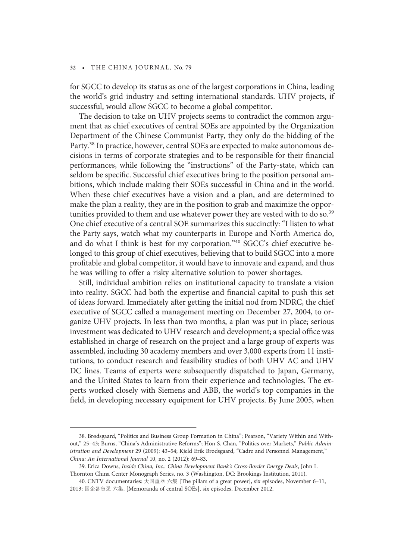for SGCC to develop its status as one of the largest corporations in China, leading the world's grid industry and setting international standards. UHV projects, if successful, would allow SGCC to become a global competitor.

The decision to take on UHV projects seems to contradict the common argument that as chief executives of central SOEs are appointed by the Organization Department of the Chinese Communist Party, they only do the bidding of the Party.<sup>38</sup> In practice, however, central SOEs are expected to make autonomous decisions in terms of corporate strategies and to be responsible for their financial performances, while following the "instructions" of the Party-state, which can seldom be specific. Successful chief executives bring to the position personal ambitions, which include making their SOEs successful in China and in the world. When these chief executives have a vision and a plan, and are determined to make the plan a reality, they are in the position to grab and maximize the opportunities provided to them and use whatever power they are vested with to do so.<sup>39</sup> One chief executive of a central SOE summarizes this succinctly: "I listen to what the Party says, watch what my counterparts in Europe and North America do, and do what I think is best for my corporation."<sup>40</sup> SGCC's chief executive belonged to this group of chief executives, believing that to build SGCC into a more profitable and global competitor, it would have to innovate and expand, and thus he was willing to offer a risky alternative solution to power shortages.

Still, individual ambition relies on institutional capacity to translate a vision into reality. SGCC had both the expertise and financial capital to push this set of ideas forward. Immediately after getting the initial nod from NDRC, the chief executive of SGCC called a management meeting on December 27, 2004, to organize UHV projects. In less than two months, a plan was put in place; serious investment was dedicated to UHV research and development; a special office was established in charge of research on the project and a large group of experts was assembled, including 30 academy members and over 3,000 experts from 11 institutions, to conduct research and feasibility studies of both UHV AC and UHV DC lines. Teams of experts were subsequently dispatched to Japan, Germany, and the United States to learn from their experience and technologies. The experts worked closely with Siemens and ABB, the world's top companies in the field, in developing necessary equipment for UHV projects. By June 2005, when

<sup>38.</sup> Brødsgaard, "Politics and Business Group Formation in China"; Pearson, "Variety Within and Without," 25–43; Burns, "China's Administrative Reforms"; Hon S. Chan, "Politics over Markets," Public Administration and Development 29 (2009): 43–54; Kjeld Erik Brødsgaard, "Cadre and Personnel Management," China: An International Journal 10, no. 2 (2012): 69–83.

<sup>39.</sup> Erica Downs, Inside China, Inc.: China Development Bank's Cross-Border Energy Deals, John L. Thornton China Center Monograph Series, no. 3 (Washington, DC: Brookings Institution, 2011).

<sup>40.</sup> CNTV documentaries: 大国重器 六集 [The pillars of a great power], six episodes, November 6–11, 2013; 国企备忘录 六集, [Memoranda of central SOEs], six episodes, December 2012.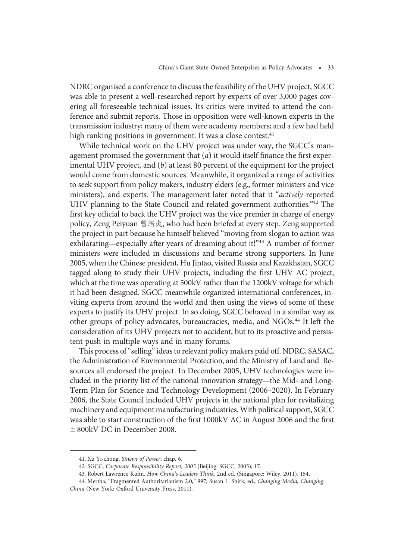NDRC organised a conference to discuss the feasibility of the UHV project, SGCC was able to present a well-researched report by experts of over 3,000 pages covering all foreseeable technical issues. Its critics were invited to attend the conference and submit reports. Those in opposition were well-known experts in the transmission industry; many of them were academy members; and a few had held high ranking positions in government. It was a close contest.<sup>41</sup>

While technical work on the UHV project was under way, the SGCC's management promised the government that  $(a)$  it would itself finance the first experimental UHV project, and  $(b)$  at least 80 percent of the equipment for the project would come from domestic sources. Meanwhile, it organized a range of activities to seek support from policy makers, industry elders (e.g., former ministers and vice ministers), and experts. The management later noted that it "actively reported UHV planning to the State Council and related government authorities."<sup>42</sup> The first key official to back the UHV project was the vice premier in charge of energy policy, Zeng Peiyuan 曾培炎, who had been briefed at every step. Zeng supported the project in part because he himself believed "moving from slogan to action was exhilarating—especially after years of dreaming about it!"43 A number of former ministers were included in discussions and became strong supporters. In June 2005, when the Chinese president, Hu Jintao, visited Russia and Kazakhstan, SGCC tagged along to study their UHV projects, including the first UHV AC project, which at the time was operating at 500kV rather than the 1200kV voltage for which it had been designed. SGCC meanwhile organized international conferences, inviting experts from around the world and then using the views of some of these experts to justify its UHV project. In so doing, SGCC behaved in a similar way as other groups of policy advocates, bureaucracies, media, and NGOs.<sup>44</sup> It left the consideration of its UHV projects not to accident, but to its proactive and persistent push in multiple ways and in many forums.

This process of"selling"ideas to relevant policy makers paid off. NDRC, SASAC, the Administration of Environmental Protection, and the Ministry of Land and Resources all endorsed the project. In December 2005, UHV technologies were included in the priority list of the national innovation strategy—the Mid- and Long-Term Plan for Science and Technology Development (2006–2020). In February 2006, the State Council included UHV projects in the national plan for revitalizing machinery and equipment manufacturing industries. With political support, SGCC was able to start construction of the first 1000kV AC in August 2006 and the first  $\pm$ 800kV DC in December 2008.

<sup>41.</sup> Xu Yi-chong, Sinews of Power, chap. 6.

<sup>42.</sup> SGCC, Corporate Responsibility Report, 2005 (Beijing: SGCC, 2005), 17.

<sup>43.</sup> Robert Lawrence Kuhn, How China's Leaders Think, 2nd ed. (Singapore: Wiley, 2011), 154.

<sup>44.</sup> Mertha, "Fragmented Authoritarianism 2.0," 997; Susan L. Shirk, ed., Changing Media, Changing China (New York: Oxford University Press, 2011).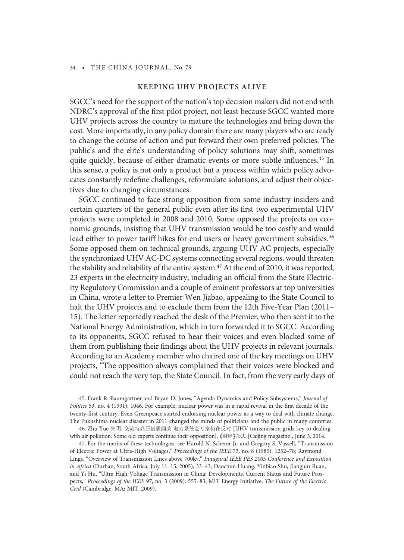# KEEPING UHV PROJECTS ALIVE

SGCC's need for the support of the nation's top decision makers did not end with NDRC's approval of the first pilot project, not least because SGCC wanted more UHV projects across the country to mature the technologies and bring down the cost. More importantly, in any policy domain there are many players who are ready to change the course of action and put forward their own preferred policies. The public's and the elite's understanding of policy solutions may shift, sometimes quite quickly, because of either dramatic events or more subtle influences.<sup>45</sup> In this sense, a policy is not only a product but a process within which policy advocates constantly redefine challenges, reformulate solutions, and adjust their objectives due to changing circumstances.

SGCC continued to face strong opposition from some industry insiders and certain quarters of the general public even after its first two experimental UHV projects were completed in 2008 and 2010. Some opposed the projects on economic grounds, insisting that UHV transmission would be too costly and would lead either to power tariff hikes for end users or heavy government subsidies.<sup>46</sup> Some opposed them on technical grounds, arguing UHV AC projects, especially the synchronized UHV AC-DC systems connecting several regions, would threaten the stability and reliability of the entire system.<sup>47</sup> At the end of 2010, it was reported, 23 experts in the electricity industry, including an official from the State Electricity Regulatory Commission and a couple of eminent professors at top universities in China, wrote a letter to Premier Wen Jiabao, appealing to the State Council to halt the UHV projects and to exclude them from the 12th Five-Year Plan (2011– 15). The letter reportedly reached the desk of the Premier, who then sent it to the National Energy Administration, which in turn forwarded it to SGCC. According to its opponents, SGCC refused to hear their voices and even blocked some of them from publishing their findings about the UHV projects in relevant journals. According to an Academy member who chaired one of the key meetings on UHV projects, "The opposition always complained that their voices were blocked and could not reach the very top, the State Council. In fact, from the very early days of

<sup>45.</sup> Frank R. Baumgartner and Bryan D. Jones, "Agenda Dynamics and Policy Subsystems," Journal of Politics 53, no. 4 (1991): 1046. For example, nuclear power was in a rapid revival in the first decade of the twenty-first century. Even Greenpeace started endorsing nuclear power as a way to deal with climate change. The Fukushima nuclear disaster in 2011 changed the minds of politicians and the public in many countries.

<sup>46.</sup> Zhu Yue 朱玥, 交流特高压借霾闯关 电力系统老专家仍在反对 [UHV transmission grids key to dealing with air pollution: Some old experts continue their opposition], 《财经》杂志 [Caijing magazine], June 3, 2014.

<sup>47.</sup> For the merits of these technologies, see Harold N. Scherer Jr. and Gregory S. Vassell, "Transmission of Electric Power at Ultra-High Voltages," Proceedings of the IEEE 73, no. 8 (1985): 1252–78; Raymond Lings, "Overview of Transmission Lines above 700kv," Inaugural IEEE PES 2005 Conference and Exposition in Africa (Durban, South Africa, July 11–15, 2005), 33–43; Daochun Huang, Yinbiao Shu, Jiangjun Ruan, and Yi Hu, "Ultra High Voltage Transmission in China: Developments, Current Status and Future Prospects," Proceedings of the IEEE 97, no. 3 (2009): 555–83; MIT Energy Initiative, The Future of the Electric Grid (Cambridge, MA: MIT, 2009).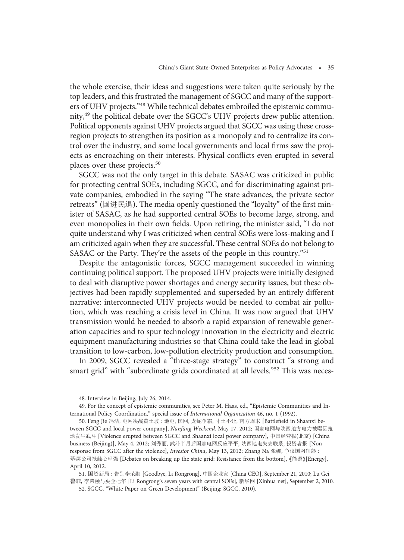the whole exercise, their ideas and suggestions were taken quite seriously by the top leaders, and this frustrated the management of SGCC and many of the supporters of UHV projects."<sup>48</sup> While technical debates embroiled the epistemic community,49 the political debate over the SGCC's UHV projects drew public attention. Political opponents against UHV projects argued that SGCC was using these crossregion projects to strengthen its position as a monopoly and to centralize its control over the industry, and some local governments and local firms saw the projects as encroaching on their interests. Physical conflicts even erupted in several places over these projects.<sup>50</sup>

SGCC was not the only target in this debate. SASAC was criticized in public for protecting central SOEs, including SGCC, and for discriminating against private companies, embodied in the saying "The state advances, the private sector retreats" (国进民退). The media openly questioned the "loyalty" of the first minister of SASAC, as he had supported central SOEs to become large, strong, and even monopolies in their own fields. Upon retiring, the minister said, "I do not quite understand why I was criticized when central SOEs were loss-making and I am criticized again when they are successful. These central SOEs do not belong to SASAC or the Party. They're the assets of the people in this country."<sup>51</sup>

Despite the antagonistic forces, SGCC management succeeded in winning continuing political support. The proposed UHV projects were initially designed to deal with disruptive power shortages and energy security issues, but these objectives had been rapidly supplemented and superseded by an entirely different narrative: interconnected UHV projects would be needed to combat air pollution, which was reaching a crisis level in China. It was now argued that UHV transmission would be needed to absorb a rapid expansion of renewable generation capacities and to spur technology innovation in the electricity and electric equipment manufacturing industries so that China could take the lead in global transition to low-carbon, low-pollution electricity production and consumption.

In 2009, SGCC revealed a "three-stage strategy" to construct "a strong and smart grid" with "subordinate grids coordinated at all levels."<sup>52</sup> This was neces-

<sup>48.</sup> Interview in Beijing, July 26, 2014.

<sup>49.</sup> For the concept of epistemic communities, see Peter M. Haas, ed., "Epistemic Communities and International Policy Coordination," special issue of International Organization 46, no. 1 (1992).

<sup>50.</sup> Feng Jie <sup>冯</sup>洁,电网决战黄土坡 : <sup>地</sup>电,国网,龙蛇争霸,寸土不让,南方周<sup>末</sup> [Battlefield in Shaanxi between SGCC and local power company], Nanfang Weekend, May 17, 2012; 国家电网与陕西地方电力被曝因抢 地发生武斗 [Violence erupted between SGCC and Shaanxi local power company], 中国经营报(北京) [China business (Beijing)], May 4, 2012; 刘秀丽,武斗半月后国家电网反应平平,陕西地电失去联系,投资者报 [Nonresponse from SGCC after the violence], Investor China, May 13, 2012; Zhang Na 张娜, 争议国网削藩 : 基层公司抵触心理强 [Debates on breaking up the state grid: Resistance from the bottom], 《能源》[Energy], April 10, 2012.

<sup>51.</sup> 国资新局 : 告别李荣融 [Goodbye, Li Rongrong], 中国企业家 [China CEO], September 21, 2010; Lu Gei 鲁菲, 李荣融与央企七年 [Li Rongrong's seven years with central SOEs], 新华网 [Xinhua net], September 2, 2010.

<sup>52.</sup> SGCC, "White Paper on Green Development" (Beijing: SGCC, 2010).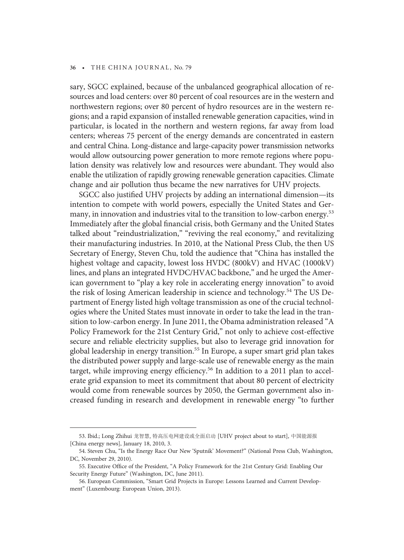sary, SGCC explained, because of the unbalanced geographical allocation of resources and load centers: over 80 percent of coal resources are in the western and northwestern regions; over 80 percent of hydro resources are in the western regions; and a rapid expansion of installed renewable generation capacities, wind in particular, is located in the northern and western regions, far away from load centers; whereas 75 percent of the energy demands are concentrated in eastern and central China. Long-distance and large-capacity power transmission networks would allow outsourcing power generation to more remote regions where population density was relatively low and resources were abundant. They would also enable the utilization of rapidly growing renewable generation capacities. Climate change and air pollution thus became the new narratives for UHV projects.

SGCC also justified UHV projects by adding an international dimension—its intention to compete with world powers, especially the United States and Germany, in innovation and industries vital to the transition to low-carbon energy.<sup>53</sup> Immediately after the global financial crisis, both Germany and the United States talked about "reindustrialization," "reviving the real economy," and revitalizing their manufacturing industries. In 2010, at the National Press Club, the then US Secretary of Energy, Steven Chu, told the audience that "China has installed the highest voltage and capacity, lowest loss HVDC (800kV) and HVAC (1000kV) lines, and plans an integrated HVDC/HVAC backbone," and he urged the American government to "play a key role in accelerating energy innovation" to avoid the risk of losing American leadership in science and technology.<sup>54</sup> The US Department of Energy listed high voltage transmission as one of the crucial technologies where the United States must innovate in order to take the lead in the transition to low-carbon energy. In June 2011, the Obama administration released "A Policy Framework for the 21st Century Grid," not only to achieve cost-effective secure and reliable electricity supplies, but also to leverage grid innovation for global leadership in energy transition.<sup>55</sup> In Europe, a super smart grid plan takes the distributed power supply and large-scale use of renewable energy as the main target, while improving energy efficiency.<sup>56</sup> In addition to a 2011 plan to accelerate grid expansion to meet its commitment that about 80 percent of electricity would come from renewable sources by 2050, the German government also increased funding in research and development in renewable energy "to further

<sup>53.</sup> Ibid.; Long Zhihui 龙智慧,特高压电网建设或全面启动 [UHV project about to start], 中国能源报 [China energy news], January 18, 2010, 3.

<sup>54.</sup> Steven Chu, "Is the Energy Race Our New 'Sputnik' Movement?" (National Press Club, Washington, DC, November 29, 2010).

<sup>55.</sup> Executive Office of the President, "A Policy Framework for the 21st Century Grid: Enabling Our Security Energy Future" (Washington, DC, June 2011).

<sup>56.</sup> European Commission, "Smart Grid Projects in Europe: Lessons Learned and Current Development" (Luxembourg: European Union, 2013).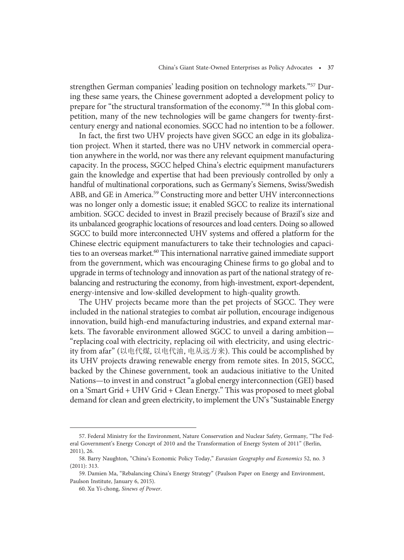strengthen German companies' leading position on technology markets."<sup>57</sup> During these same years, the Chinese government adopted a development policy to prepare for "the structural transformation of the economy."<sup>58</sup> In this global competition, many of the new technologies will be game changers for twenty-firstcentury energy and national economies. SGCC had no intention to be a follower.

In fact, the first two UHV projects have given SGCC an edge in its globalization project. When it started, there was no UHV network in commercial operation anywhere in the world, nor was there any relevant equipment manufacturing capacity. In the process, SGCC helped China's electric equipment manufacturers gain the knowledge and expertise that had been previously controlled by only a handful of multinational corporations, such as Germany's Siemens, Swiss/Swedish ABB, and GE in America.<sup>59</sup> Constructing more and better UHV interconnections was no longer only a domestic issue; it enabled SGCC to realize its international ambition. SGCC decided to invest in Brazil precisely because of Brazil's size and its unbalanced geographic locations of resources and load centers. Doing so allowed SGCC to build more interconnected UHV systems and offered a platform for the Chinese electric equipment manufacturers to take their technologies and capacities to an overseas market.<sup>60</sup> This international narrative gained immediate support from the government, which was encouraging Chinese firms to go global and to upgrade in terms of technology and innovation as part of the national strategy of rebalancing and restructuring the economy, from high-investment, export-dependent, energy-intensive and low-skilled development to high-quality growth.

The UHV projects became more than the pet projects of SGCC. They were included in the national strategies to combat air pollution, encourage indigenous innovation, build high-end manufacturing industries, and expand external markets. The favorable environment allowed SGCC to unveil a daring ambition— "replacing coal with electricity, replacing oil with electricity, and using electricity from afar" (以电代煤,以电代油,电从远方来). This could be accomplished by its UHV projects drawing renewable energy from remote sites. In 2015, SGCC, backed by the Chinese government, took an audacious initiative to the United Nations-to invest in and construct "a global energy interconnection (GEI) based on a 'Smart Grid + UHV Grid + Clean Energy." This was proposed to meet global demand for clean and green electricity, to implement the UN's "Sustainable Energy

<sup>57.</sup> Federal Ministry for the Environment, Nature Conservation and Nuclear Safety, Germany, "The Federal Government's Energy Concept of 2010 and the Transformation of Energy System of 2011" (Berlin, 2011), 26.

<sup>58.</sup> Barry Naughton, "China's Economic Policy Today," Eurasian Geography and Economics 52, no. 3 (2011): 313.

<sup>59.</sup> Damien Ma, "Rebalancing China's Energy Strategy" (Paulson Paper on Energy and Environment, Paulson Institute, January 6, 2015).

<sup>60.</sup> Xu Yi-chong, Sinews of Power.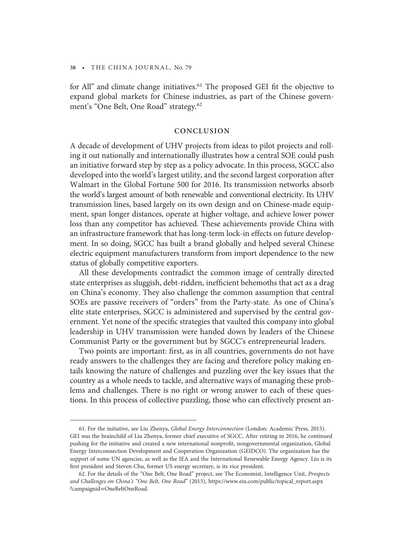for All" and climate change initiatives.<sup>61</sup> The proposed GEI fit the objective to expand global markets for Chinese industries, as part of the Chinese government's "One Belt, One Road" strategy.<sup>62</sup>

# CONCLUSION

A decade of development of UHV projects from ideas to pilot projects and rolling it out nationally and internationally illustrates how a central SOE could push an initiative forward step by step as a policy advocate. In this process, SGCC also developed into the world's largest utility, and the second largest corporation after Walmart in the Global Fortune 500 for 2016. Its transmission networks absorb the world's largest amount of both renewable and conventional electricity. Its UHV transmission lines, based largely on its own design and on Chinese-made equipment, span longer distances, operate at higher voltage, and achieve lower power loss than any competitor has achieved. These achievements provide China with an infrastructure framework that has long-term lock-in effects on future development. In so doing, SGCC has built a brand globally and helped several Chinese electric equipment manufacturers transform from import dependence to the new status of globally competitive exporters.

All these developments contradict the common image of centrally directed state enterprises as sluggish, debt-ridden, inefficient behemoths that act as a drag on China's economy. They also challenge the common assumption that central SOEs are passive receivers of "orders" from the Party-state. As one of China's elite state enterprises, SGCC is administered and supervised by the central government. Yet none of the specific strategies that vaulted this company into global leadership in UHV transmission were handed down by leaders of the Chinese Communist Party or the government but by SGCC's entrepreneurial leaders.

Two points are important: first, as in all countries, governments do not have ready answers to the challenges they are facing and therefore policy making entails knowing the nature of challenges and puzzling over the key issues that the country as a whole needs to tackle, and alternative ways of managing these problems and challenges. There is no right or wrong answer to each of these questions. In this process of collective puzzling, those who can effectively present an-

<sup>61.</sup> For the initiative, see Liu Zhenya, Global Energy Interconnection (London: Academic Press, 2015). GEI was the brainchild of Liu Zhenya, former chief executive of SGCC. After retiring in 2016, he continued pushing for the initiative and created a new international nonprofit, nongovernmental organization, Global Energy Interconnection Development and Cooperation Organization (GEIDCO). The organization has the support of some UN agencies, as well as the IEA and the International Renewable Energy Agency. Liu is its first president and Steven Chu, former US energy secretary, is its vice president.

<sup>62.</sup> For the details of the "One Belt, One Road" project, see The Economist, Intelligence Unit, Prospects and Challenges on China's "One Belt, One Road" (2015), https://www.eiu.com/public/topical\_report.aspx ?campaignid=OneBeltOneRoad.